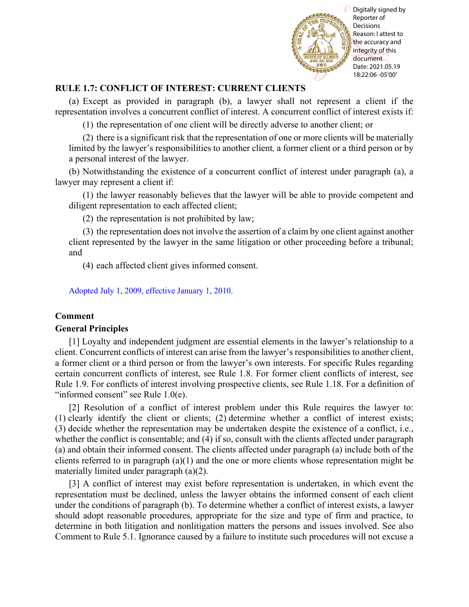

# **RULE 1.7: CONFLICT OF INTEREST: CURRENT CLIENTS**

(a) Except as provided in paragraph (b), a lawyer shall not represent a client if the representation involves a concurrent conflict of interest. A concurrent conflict of interest exists if:

(1) the representation of one client will be directly adverse to another client; or

(2) there is a significant risk that the representation of one or more clients will be materially limited by the lawyer's responsibilities to another client*,* a former client or a third person or by a personal interest of the lawyer.

(b) Notwithstanding the existence of a concurrent conflict of interest under paragraph (a), a lawyer may represent a client if:

(1) the lawyer reasonably believes that the lawyer will be able to provide competent and diligent representation to each affected client;

(2) the representation is not prohibited by law;

(3) the representation does not involve the assertion of a claim by one client against another client represented by the lawyer in the same litigation or other proceeding before a tribunal; and

(4) each affected client gives informed consent.

[Adopted July 1, 2009, effective January 1, 2010.](http://www.illinoiscourts.gov/files/070109.pdf/amendment)

## **Comment**

## **General Principles**

[1] Loyalty and independent judgment are essential elements in the lawyer's relationship to a client. Concurrent conflicts of interest can arise from the lawyer's responsibilities to another client, a former client or a third person or from the lawyer's own interests. For specific Rules regarding certain concurrent conflicts of interest, see Rule 1.8. For former client conflicts of interest, see Rule 1.9. For conflicts of interest involving prospective clients, see Rule 1.18. For a definition of "informed consent" see Rule 1.0(e).

[2] Resolution of a conflict of interest problem under this Rule requires the lawyer to: (1) clearly identify the client or clients; (2) determine whether a conflict of interest exists; (3) decide whether the representation may be undertaken despite the existence of a conflict, i.e., whether the conflict is consentable; and (4) if so, consult with the clients affected under paragraph (a) and obtain their informed consent. The clients affected under paragraph (a) include both of the clients referred to in paragraph  $(a)(1)$  and the one or more clients whose representation might be materially limited under paragraph (a)(2). FILE 1.7: CONFLICT OF INTEREST: CURRENTY CLIENTS<br>
RELEAT AT CONFLICT OF INTEREST: CURRENTY CLIENTS<br>
(A) Excelse and the procedures and the street of the institute such procedures a Digital Procedures a Digital Procedure (

[3] A conflict of interest may exist before representation is undertaken, in which event the representation must be declined, unless the lawyer obtains the informed consent of each client under the conditions of paragraph (b). To determine whether a conflict of interest exists, a lawyer should adopt reasonable procedures, appropriate for the size and type of firm and practice, to determine in both litigation and nonlitigation matters the persons and issues involved. See also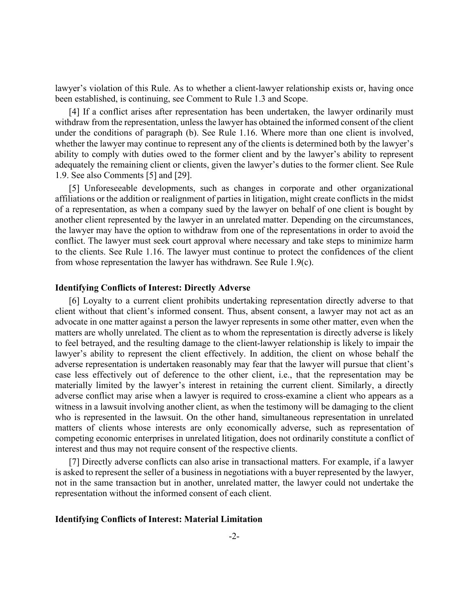lawyer's violation of this Rule. As to whether a client-lawyer relationship exists or, having once been established, is continuing, see Comment to Rule 1.3 and Scope.

[4] If a conflict arises after representation has been undertaken, the lawyer ordinarily must withdraw from the representation, unless the lawyer has obtained the informed consent of the client under the conditions of paragraph (b). See Rule 1.16. Where more than one client is involved, whether the lawyer may continue to represent any of the clients is determined both by the lawyer's ability to comply with duties owed to the former client and by the lawyer's ability to represent adequately the remaining client or clients, given the lawyer's duties to the former client. See Rule 1.9. See also Comments [5] and [29].

[5] Unforeseeable developments, such as changes in corporate and other organizational affiliations or the addition or realignment of parties in litigation, might create conflicts in the midst of a representation, as when a company sued by the lawyer on behalf of one client is bought by another client represented by the lawyer in an unrelated matter. Depending on the circumstances, the lawyer may have the option to withdraw from one of the representations in order to avoid the conflict. The lawyer must seek court approval where necessary and take steps to minimize harm to the clients. See Rule 1.16. The lawyer must continue to protect the confidences of the client from whose representation the lawyer has withdrawn. See Rule 1.9(c).

## **Identifying Conflicts of Interest: Directly Adverse**

[6] Loyalty to a current client prohibits undertaking representation directly adverse to that client without that client's informed consent. Thus, absent consent, a lawyer may not act as an advocate in one matter against a person the lawyer represents in some other matter, even when the matters are wholly unrelated. The client as to whom the representation is directly adverse is likely to feel betrayed, and the resulting damage to the client-lawyer relationship is likely to impair the lawyer's ability to represent the client effectively. In addition, the client on whose behalf the adverse representation is undertaken reasonably may fear that the lawyer will pursue that client's case less effectively out of deference to the other client, i.e., that the representation may be materially limited by the lawyer's interest in retaining the current client. Similarly, a directly adverse conflict may arise when a lawyer is required to cross-examine a client who appears as a witness in a lawsuit involving another client, as when the testimony will be damaging to the client who is represented in the lawsuit. On the other hand, simultaneous representation in unrelated matters of clients whose interests are only economically adverse, such as representation of competing economic enterprises in unrelated litigation, does not ordinarily constitute a conflict of interest and thus may not require consent of the respective clients.

[7] Directly adverse conflicts can also arise in transactional matters. For example, if a lawyer is asked to represent the seller of a business in negotiations with a buyer represented by the lawyer, not in the same transaction but in another, unrelated matter, the lawyer could not undertake the representation without the informed consent of each client.

## **Identifying Conflicts of Interest: Material Limitation**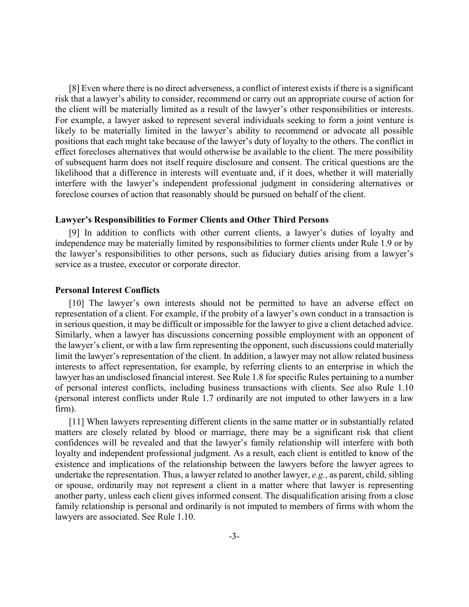[8] Even where there is no direct adverseness, a conflict of interest exists if there is a significant risk that a lawyer's ability to consider, recommend or carry out an appropriate course of action for the client will be materially limited as a result of the lawyer's other responsibilities or interests. For example, a lawyer asked to represent several individuals seeking to form a joint venture is likely to be materially limited in the lawyer's ability to recommend or advocate all possible positions that each might take because of the lawyer's duty of loyalty to the others. The conflict in effect forecloses alternatives that would otherwise be available to the client. The mere possibility of subsequent harm does not itself require disclosure and consent. The critical questions are the likelihood that a difference in interests will eventuate and, if it does, whether it will materially interfere with the lawyer's independent professional judgment in considering alternatives or foreclose courses of action that reasonably should be pursued on behalf of the client.

#### **Lawyer's Responsibilities to Former Clients and Other Third Persons**

[9] In addition to conflicts with other current clients, a lawyer's duties of loyalty and independence may be materially limited by responsibilities to former clients under Rule 1.9 or by the lawyer's responsibilities to other persons, such as fiduciary duties arising from a lawyer's service as a trustee, executor or corporate director.

#### **Personal Interest Conflicts**

[10] The lawyer's own interests should not be permitted to have an adverse effect on representation of a client. For example, if the probity of a lawyer's own conduct in a transaction is in serious question, it may be difficult or impossible for the lawyer to give a client detached advice. Similarly, when a lawyer has discussions concerning possible employment with an opponent of the lawyer's client, or with a law firm representing the opponent, such discussions could materially limit the lawyer's representation of the client. In addition, a lawyer may not allow related business interests to affect representation, for example, by referring clients to an enterprise in which the lawyer has an undisclosed financial interest. See Rule 1.8 for specific Rules pertaining to a number of personal interest conflicts, including business transactions with clients. See also Rule 1.10 (personal interest conflicts under Rule 1.7 ordinarily are not imputed to other lawyers in a law firm).

[11] When lawyers representing different clients in the same matter or in substantially related matters are closely related by blood or marriage, there may be a significant risk that client confidences will be revealed and that the lawyer's family relationship will interfere with both loyalty and independent professional judgment. As a result, each client is entitled to know of the existence and implications of the relationship between the lawyers before the lawyer agrees to undertake the representation. Thus, a lawyer related to another lawyer, *e.g.*, as parent, child, sibling or spouse, ordinarily may not represent a client in a matter where that lawyer is representing another party, unless each client gives informed consent. The disqualification arising from a close family relationship is personal and ordinarily is not imputed to members of firms with whom the lawyers are associated. See Rule 1.10.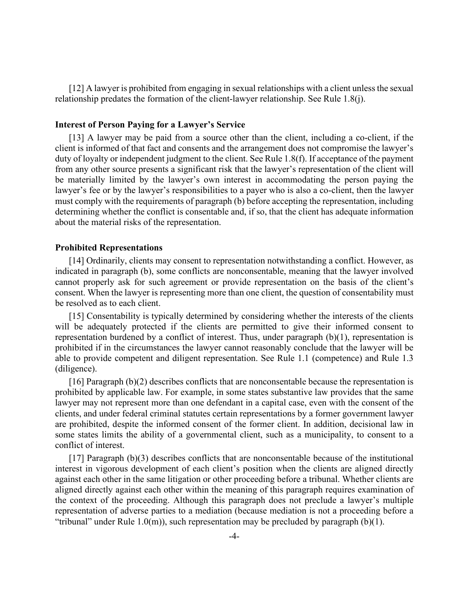[12] A lawyer is prohibited from engaging in sexual relationships with a client unless the sexual relationship predates the formation of the client-lawyer relationship. See Rule 1.8(j).

#### **Interest of Person Paying for a Lawyer's Service**

[13] A lawyer may be paid from a source other than the client, including a co-client, if the client is informed of that fact and consents and the arrangement does not compromise the lawyer's duty of loyalty or independent judgment to the client. See Rule 1.8(f). If acceptance of the payment from any other source presents a significant risk that the lawyer's representation of the client will be materially limited by the lawyer's own interest in accommodating the person paying the lawyer's fee or by the lawyer's responsibilities to a payer who is also a co-client, then the lawyer must comply with the requirements of paragraph (b) before accepting the representation, including determining whether the conflict is consentable and, if so, that the client has adequate information about the material risks of the representation.

#### **Prohibited Representations**

[14] Ordinarily, clients may consent to representation notwithstanding a conflict. However, as indicated in paragraph (b), some conflicts are nonconsentable, meaning that the lawyer involved cannot properly ask for such agreement or provide representation on the basis of the client's consent. When the lawyer is representing more than one client, the question of consentability must be resolved as to each client.

[15] Consentability is typically determined by considering whether the interests of the clients will be adequately protected if the clients are permitted to give their informed consent to representation burdened by a conflict of interest. Thus, under paragraph (b)(1), representation is prohibited if in the circumstances the lawyer cannot reasonably conclude that the lawyer will be able to provide competent and diligent representation. See Rule 1.1 (competence) and Rule 1.3 (diligence).

[16] Paragraph (b)(2) describes conflicts that are nonconsentable because the representation is prohibited by applicable law. For example, in some states substantive law provides that the same lawyer may not represent more than one defendant in a capital case, even with the consent of the clients, and under federal criminal statutes certain representations by a former government lawyer are prohibited, despite the informed consent of the former client. In addition, decisional law in some states limits the ability of a governmental client, such as a municipality, to consent to a conflict of interest.

[17] Paragraph (b)(3) describes conflicts that are nonconsentable because of the institutional interest in vigorous development of each client's position when the clients are aligned directly against each other in the same litigation or other proceeding before a tribunal. Whether clients are aligned directly against each other within the meaning of this paragraph requires examination of the context of the proceeding. Although this paragraph does not preclude a lawyer's multiple representation of adverse parties to a mediation (because mediation is not a proceeding before a "tribunal" under Rule 1.0(m)), such representation may be precluded by paragraph  $(b)(1)$ .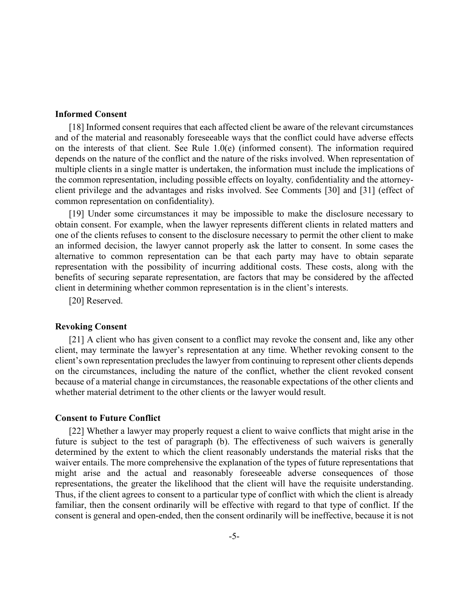## **Informed Consent**

[18] Informed consent requires that each affected client be aware of the relevant circumstances and of the material and reasonably foreseeable ways that the conflict could have adverse effects on the interests of that client. See Rule 1.0(e) (informed consent). The information required depends on the nature of the conflict and the nature of the risks involved. When representation of multiple clients in a single matter is undertaken, the information must include the implications of the common representation, including possible effects on loyalty*,* confidentiality and the attorneyclient privilege and the advantages and risks involved. See Comments [30] and [31] (effect of common representation on confidentiality).

[19] Under some circumstances it may be impossible to make the disclosure necessary to obtain consent. For example, when the lawyer represents different clients in related matters and one of the clients refuses to consent to the disclosure necessary to permit the other client to make an informed decision, the lawyer cannot properly ask the latter to consent. In some cases the alternative to common representation can be that each party may have to obtain separate representation with the possibility of incurring additional costs. These costs, along with the benefits of securing separate representation, are factors that may be considered by the affected client in determining whether common representation is in the client's interests.

[20] Reserved.

#### **Revoking Consent**

[21] A client who has given consent to a conflict may revoke the consent and, like any other client, may terminate the lawyer's representation at any time. Whether revoking consent to the client's own representation precludes the lawyer from continuing to represent other clients depends on the circumstances, including the nature of the conflict, whether the client revoked consent because of a material change in circumstances, the reasonable expectations of the other clients and whether material detriment to the other clients or the lawyer would result.

#### **Consent to Future Conflict**

[22] Whether a lawyer may properly request a client to waive conflicts that might arise in the future is subject to the test of paragraph (b). The effectiveness of such waivers is generally determined by the extent to which the client reasonably understands the material risks that the waiver entails. The more comprehensive the explanation of the types of future representations that might arise and the actual and reasonably foreseeable adverse consequences of those representations, the greater the likelihood that the client will have the requisite understanding. Thus, if the client agrees to consent to a particular type of conflict with which the client is already familiar, then the consent ordinarily will be effective with regard to that type of conflict. If the consent is general and open-ended, then the consent ordinarily will be ineffective, because it is not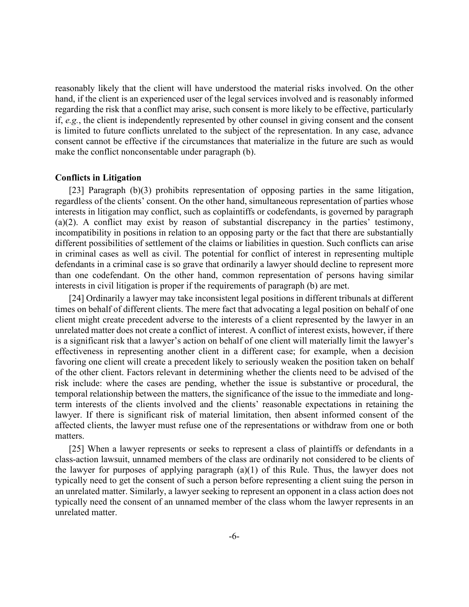reasonably likely that the client will have understood the material risks involved. On the other hand, if the client is an experienced user of the legal services involved and is reasonably informed regarding the risk that a conflict may arise, such consent is more likely to be effective, particularly if, *e.g.*, the client is independently represented by other counsel in giving consent and the consent is limited to future conflicts unrelated to the subject of the representation. In any case, advance consent cannot be effective if the circumstances that materialize in the future are such as would make the conflict nonconsentable under paragraph (b).

#### **Conflicts in Litigation**

[23] Paragraph (b)(3) prohibits representation of opposing parties in the same litigation, regardless of the clients' consent. On the other hand, simultaneous representation of parties whose interests in litigation may conflict, such as coplaintiffs or codefendants, is governed by paragraph (a)(2). A conflict may exist by reason of substantial discrepancy in the parties' testimony, incompatibility in positions in relation to an opposing party or the fact that there are substantially different possibilities of settlement of the claims or liabilities in question. Such conflicts can arise in criminal cases as well as civil. The potential for conflict of interest in representing multiple defendants in a criminal case is so grave that ordinarily a lawyer should decline to represent more than one codefendant. On the other hand, common representation of persons having similar interests in civil litigation is proper if the requirements of paragraph (b) are met.

[24] Ordinarily a lawyer may take inconsistent legal positions in different tribunals at different times on behalf of different clients. The mere fact that advocating a legal position on behalf of one client might create precedent adverse to the interests of a client represented by the lawyer in an unrelated matter does not create a conflict of interest. A conflict of interest exists, however, if there is a significant risk that a lawyer's action on behalf of one client will materially limit the lawyer's effectiveness in representing another client in a different case; for example, when a decision favoring one client will create a precedent likely to seriously weaken the position taken on behalf of the other client. Factors relevant in determining whether the clients need to be advised of the risk include: where the cases are pending, whether the issue is substantive or procedural, the temporal relationship between the matters, the significance of the issue to the immediate and longterm interests of the clients involved and the clients' reasonable expectations in retaining the lawyer. If there is significant risk of material limitation, then absent informed consent of the affected clients, the lawyer must refuse one of the representations or withdraw from one or both matters.

[25] When a lawyer represents or seeks to represent a class of plaintiffs or defendants in a class-action lawsuit, unnamed members of the class are ordinarily not considered to be clients of the lawyer for purposes of applying paragraph (a)(1) of this Rule. Thus, the lawyer does not typically need to get the consent of such a person before representing a client suing the person in an unrelated matter. Similarly, a lawyer seeking to represent an opponent in a class action does not typically need the consent of an unnamed member of the class whom the lawyer represents in an unrelated matter.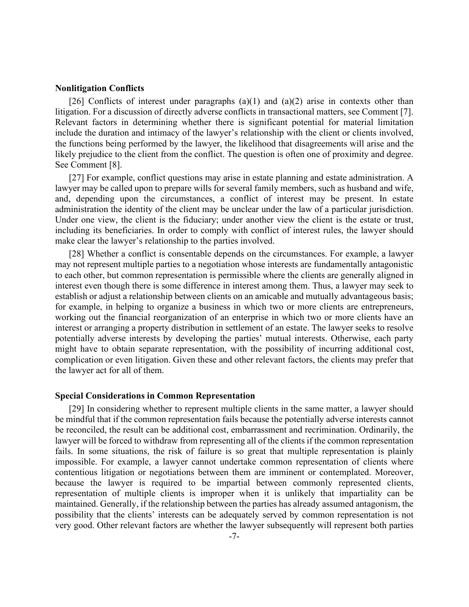## **Nonlitigation Conflicts**

[26] Conflicts of interest under paragraphs  $(a)(1)$  and  $(a)(2)$  arise in contexts other than litigation. For a discussion of directly adverse conflicts in transactional matters, see Comment [7]. Relevant factors in determining whether there is significant potential for material limitation include the duration and intimacy of the lawyer's relationship with the client or clients involved, the functions being performed by the lawyer, the likelihood that disagreements will arise and the likely prejudice to the client from the conflict. The question is often one of proximity and degree. See Comment [8].

[27] For example, conflict questions may arise in estate planning and estate administration. A lawyer may be called upon to prepare wills for several family members, such as husband and wife, and, depending upon the circumstances, a conflict of interest may be present. In estate administration the identity of the client may be unclear under the law of a particular jurisdiction. Under one view, the client is the fiduciary; under another view the client is the estate or trust, including its beneficiaries. In order to comply with conflict of interest rules, the lawyer should make clear the lawyer's relationship to the parties involved.

[28] Whether a conflict is consentable depends on the circumstances. For example, a lawyer may not represent multiple parties to a negotiation whose interests are fundamentally antagonistic to each other, but common representation is permissible where the clients are generally aligned in interest even though there is some difference in interest among them. Thus, a lawyer may seek to establish or adjust a relationship between clients on an amicable and mutually advantageous basis; for example, in helping to organize a business in which two or more clients are entrepreneurs, working out the financial reorganization of an enterprise in which two or more clients have an interest or arranging a property distribution in settlement of an estate. The lawyer seeks to resolve potentially adverse interests by developing the parties' mutual interests. Otherwise, each party might have to obtain separate representation, with the possibility of incurring additional cost, complication or even litigation. Given these and other relevant factors, the clients may prefer that the lawyer act for all of them.

#### **Special Considerations in Common Representation**

[29] In considering whether to represent multiple clients in the same matter, a lawyer should be mindful that if the common representation fails because the potentially adverse interests cannot be reconciled, the result can be additional cost, embarrassment and recrimination. Ordinarily, the lawyer will be forced to withdraw from representing all of the clients if the common representation fails. In some situations, the risk of failure is so great that multiple representation is plainly impossible. For example, a lawyer cannot undertake common representation of clients where contentious litigation or negotiations between them are imminent or contemplated. Moreover, because the lawyer is required to be impartial between commonly represented clients, representation of multiple clients is improper when it is unlikely that impartiality can be maintained. Generally, if the relationship between the parties has already assumed antagonism, the possibility that the clients' interests can be adequately served by common representation is not very good. Other relevant factors are whether the lawyer subsequently will represent both parties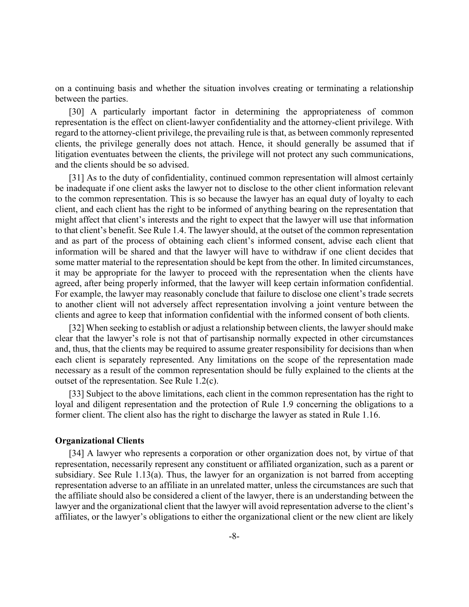on a continuing basis and whether the situation involves creating or terminating a relationship between the parties.

[30] A particularly important factor in determining the appropriateness of common representation is the effect on client-lawyer confidentiality and the attorney-client privilege. With regard to the attorney-client privilege, the prevailing rule is that, as between commonly represented clients, the privilege generally does not attach. Hence, it should generally be assumed that if litigation eventuates between the clients, the privilege will not protect any such communications, and the clients should be so advised.

[31] As to the duty of confidentiality, continued common representation will almost certainly be inadequate if one client asks the lawyer not to disclose to the other client information relevant to the common representation. This is so because the lawyer has an equal duty of loyalty to each client, and each client has the right to be informed of anything bearing on the representation that might affect that client's interests and the right to expect that the lawyer will use that information to that client's benefit. See Rule 1.4. The lawyer should, at the outset of the common representation and as part of the process of obtaining each client's informed consent, advise each client that information will be shared and that the lawyer will have to withdraw if one client decides that some matter material to the representation should be kept from the other. In limited circumstances, it may be appropriate for the lawyer to proceed with the representation when the clients have agreed, after being properly informed, that the lawyer will keep certain information confidential. For example, the lawyer may reasonably conclude that failure to disclose one client's trade secrets to another client will not adversely affect representation involving a joint venture between the clients and agree to keep that information confidential with the informed consent of both clients.

[32] When seeking to establish or adjust a relationship between clients, the lawyer should make clear that the lawyer's role is not that of partisanship normally expected in other circumstances and, thus, that the clients may be required to assume greater responsibility for decisions than when each client is separately represented. Any limitations on the scope of the representation made necessary as a result of the common representation should be fully explained to the clients at the outset of the representation. See Rule 1.2(c).

[33] Subject to the above limitations, each client in the common representation has the right to loyal and diligent representation and the protection of Rule 1.9 concerning the obligations to a former client. The client also has the right to discharge the lawyer as stated in Rule 1.16.

#### **Organizational Clients**

[34] A lawyer who represents a corporation or other organization does not, by virtue of that representation, necessarily represent any constituent or affiliated organization, such as a parent or subsidiary. See Rule 1.13(a). Thus, the lawyer for an organization is not barred from accepting representation adverse to an affiliate in an unrelated matter, unless the circumstances are such that the affiliate should also be considered a client of the lawyer, there is an understanding between the lawyer and the organizational client that the lawyer will avoid representation adverse to the client's affiliates, or the lawyer's obligations to either the organizational client or the new client are likely